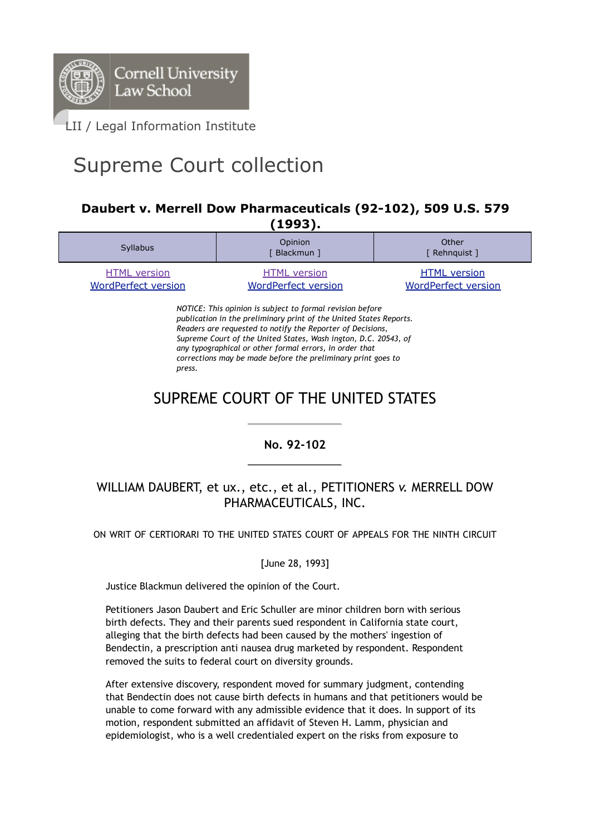

# Supreme Court collection

### **Daubert v. Merrell Dow Pharmaceuticals (92-102), 509 U.S. 579 (1993).**

| . - - - - , .                                     |                                                   |                                                   |
|---------------------------------------------------|---------------------------------------------------|---------------------------------------------------|
| <b>Syllabus</b>                                   | Opinion<br>Blackmun ]                             | Other<br>[ Rehnquist ]                            |
| <b>HTML</b> version<br><b>WordPerfect version</b> | <b>HTML</b> version<br><b>WordPerfect version</b> | <b>HTML</b> version<br><b>WordPerfect version</b> |

*NOTICE: This opinion is subject to formal revision before publication in the preliminary print of the United States Reports. Readers are requested to notify the Reporter of Decisions, Supreme Court of the United States, Wash ington, D.C. 20543, of any typographical or other formal errors, in order that corrections may be made before the preliminary print goes to press.*

# SUPREME COURT OF THE UNITED STATES

**No. 92-102**

# WILLIAM DAUBERT, et ux., etc., et al., PETITIONERS *v.* MERRELL DOW PHARMACEUTICALS, INC.

ON WRIT OF CERTIORARI TO THE UNITED STATES COURT OF APPEALS FOR THE NINTH CIRCUIT

[June 28, 1993]

Justice Blackmun delivered the opinion of the Court.

Petitioners Jason Daubert and Eric Schuller are minor children born with serious birth defects. They and their parents sued respondent in California state court, alleging that the birth defects had been caused by the mothers' ingestion of Bendectin, a prescription anti nausea drug marketed by respondent. Respondent removed the suits to federal court on diversity grounds.

After extensive discovery, respondent moved for summary judgment, contending that Bendectin does not cause birth defects in humans and that petitioners would be unable to come forward with any admissible evidence that it does. In support of its motion, respondent submitted an affidavit of Steven H. Lamm, physician and epidemiologist, who is a well credentialed expert on the risks from exposure to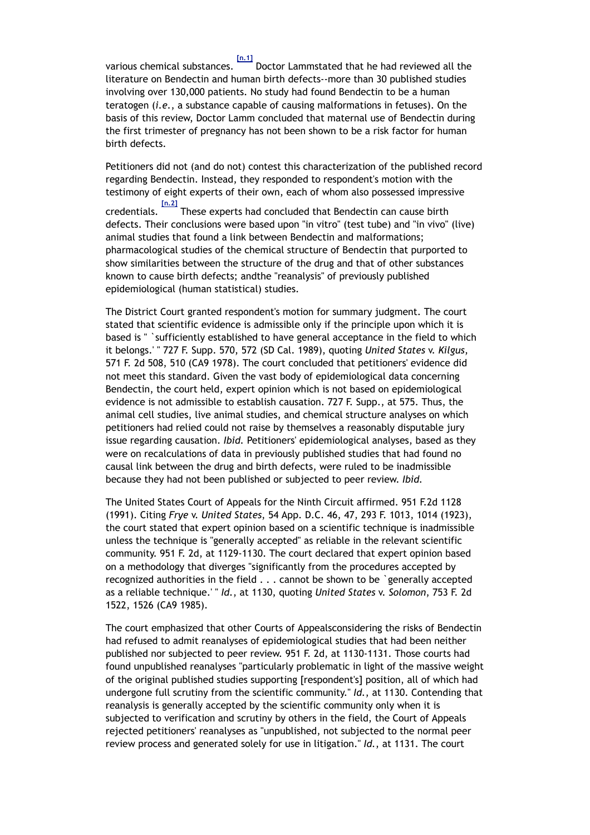various chemical substances. **[n.1]** Doctor Lammstated that he had reviewed all the literature on Bendectin and human birth defects--more than 30 published studies involving over 130,000 patients. No study had found Bendectin to be a human teratogen (*i.e.*, a substance capable of causing malformations in fetuses). On the basis of this review, Doctor Lamm concluded that maternal use of Bendectin during the first trimester of pregnancy has not been shown to be a risk factor for human birth defects.

Petitioners did not (and do not) contest this characterization of the published record regarding Bendectin. Instead, they responded to respondent's motion with the testimony of eight experts of their own, each of whom also possessed impressive credentials. **[n.2]** These experts had concluded that Bendectin can cause birth defects. Their conclusions were based upon "in vitro" (test tube) and "in vivo" (live) animal studies that found a link between Bendectin and malformations; pharmacological studies of the chemical structure of Bendectin that purported to show similarities between the structure of the drug and that of other substances known to cause birth defects; andthe "reanalysis" of previously published epidemiological (human statistical) studies.

The District Court granted respondent's motion for summary judgment. The court stated that scientific evidence is admissible only if the principle upon which it is based is " `sufficiently established to have general acceptance in the field to which it belongs.' " 727 F. Supp. 570, 572 (SD Cal. 1989), quoting *United States* v. *Kilgus*, 571 F. 2d 508, 510 (CA9 1978). The court concluded that petitioners' evidence did not meet this standard. Given the vast body of epidemiological data concerning Bendectin, the court held, expert opinion which is not based on epidemiological evidence is not admissible to establish causation. 727 F. Supp., at 575. Thus, the animal cell studies, live animal studies, and chemical structure analyses on which petitioners had relied could not raise by themselves a reasonably disputable jury issue regarding causation. *Ibid.* Petitioners' epidemiological analyses, based as they were on recalculations of data in previously published studies that had found no causal link between the drug and birth defects, were ruled to be inadmissible because they had not been published or subjected to peer review. *Ibid.*

The United States Court of Appeals for the Ninth Circuit affirmed. 951 F.2d 1128 (1991). Citing *Frye* v. *United States*, 54 App. D.C. 46, 47, 293 F. 1013, 1014 (1923), the court stated that expert opinion based on a scientific technique is inadmissible unless the technique is "generally accepted" as reliable in the relevant scientific community. 951 F. 2d, at 1129-1130. The court declared that expert opinion based on a methodology that diverges "significantly from the procedures accepted by recognized authorities in the field . . . cannot be shown to be `generally accepted as a reliable technique.' " *Id.*, at 1130, quoting *United States* v. *Solomon*, 753 F. 2d 1522, 1526 (CA9 1985).

The court emphasized that other Courts of Appealsconsidering the risks of Bendectin had refused to admit reanalyses of epidemiological studies that had been neither published nor subjected to peer review. 951 F. 2d, at 1130-1131. Those courts had found unpublished reanalyses "particularly problematic in light of the massive weight of the original published studies supporting [respondent's] position, all of which had undergone full scrutiny from the scientific community." *Id.*, at 1130. Contending that reanalysis is generally accepted by the scientific community only when it is subjected to verification and scrutiny by others in the field, the Court of Appeals rejected petitioners' reanalyses as "unpublished, not subjected to the normal peer review process and generated solely for use in litigation." *Id.*, at 1131. The court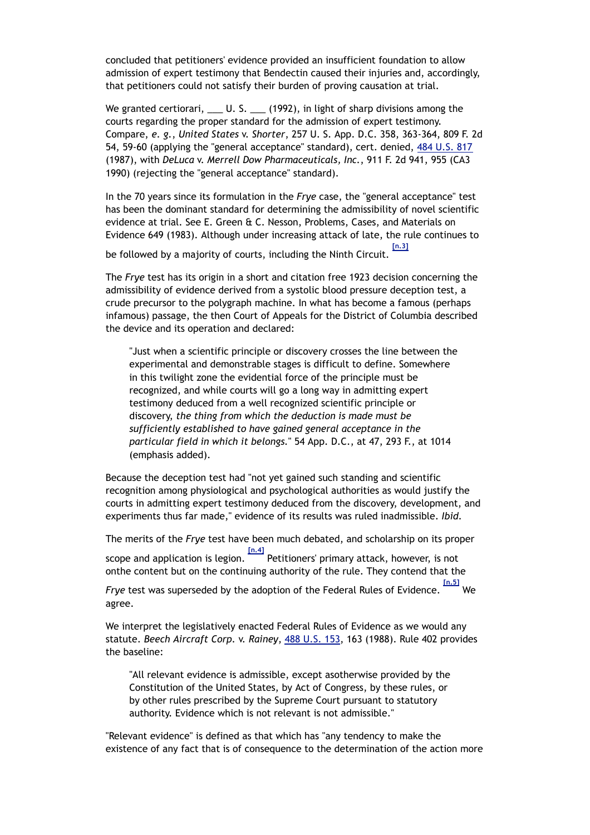concluded that petitioners' evidence provided an insufficient foundation to allow admission of expert testimony that Bendectin caused their injuries and, accordingly, that petitioners could not satisfy their burden of proving causation at trial.

We granted certiorari,  $\_\_\_\_$  U. S.  $\_\_\_\_$  (1992), in light of sharp divisions among the courts regarding the proper standard for the admission of expert testimony. Compare, *e. g.*, *United States* v. *Shorter*, 257 U. S. App. D.C. 358, 363-364, 809 F. 2d 54, 59-60 (applying the "general acceptance" standard), cert. denied, 484 U.S. 817 (1987), with *DeLuca* v. *Merrell Dow Pharmaceuticals, Inc.*, 911 F. 2d 941, 955 (CA3 1990) (rejecting the "general acceptance" standard).

In the 70 years since its formulation in the *Frye* case, the "general acceptance" test has been the dominant standard for determining the admissibility of novel scientific evidence at trial. See E. Green & C. Nesson, Problems, Cases, and Materials on Evidence 649 (1983). Although under increasing attack of late, the rule continues to **[n.3]**

be followed by a majority of courts, including the Ninth Circuit.

The *Frye* test has its origin in a short and citation free 1923 decision concerning the admissibility of evidence derived from a systolic blood pressure deception test, a crude precursor to the polygraph machine. In what has become a famous (perhaps infamous) passage, the then Court of Appeals for the District of Columbia described the device and its operation and declared:

"Just when a scientific principle or discovery crosses the line between the experimental and demonstrable stages is difficult to define. Somewhere in this twilight zone the evidential force of the principle must be recognized, and while courts will go a long way in admitting expert testimony deduced from a well recognized scientific principle or discovery, *the thing from which the deduction is made must be sufficiently established to have gained general acceptance in the particular field in which it belongs.*" 54 App. D.C., at 47, 293 F., at 1014 (emphasis added).

Because the deception test had "not yet gained such standing and scientific recognition among physiological and psychological authorities as would justify the courts in admitting expert testimony deduced from the discovery, development, and experiments thus far made," evidence of its results was ruled inadmissible. *Ibid.*

The merits of the *Frye* test have been much debated, and scholarship on its proper

scope and application is legion. **[n.4]** Petitioners' primary attack, however, is not onthe content but on the continuing authority of the rule. They contend that the

*Frye* test was superseded by the adoption of the Federal Rules of Evidence. **[n.5]** We agree.

We interpret the legislatively enacted Federal Rules of Evidence as we would any statute. *Beech Aircraft Corp.* v. *Rainey*, 488 U.S. 153, 163 (1988). Rule 402 provides the baseline:

"All relevant evidence is admissible, except asotherwise provided by the Constitution of the United States, by Act of Congress, by these rules, or by other rules prescribed by the Supreme Court pursuant to statutory authority. Evidence which is not relevant is not admissible."

"Relevant evidence" is defined as that which has "any tendency to make the existence of any fact that is of consequence to the determination of the action more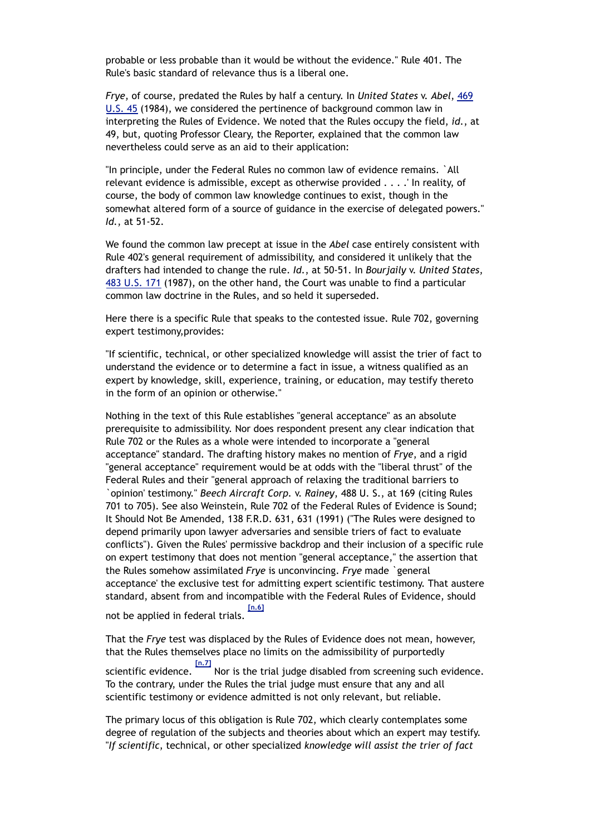probable or less probable than it would be without the evidence." Rule 401. The Rule's basic standard of relevance thus is a liberal one.

*Frye*, of course, predated the Rules by half a century. In *United States* v. *Abel*, 469 U.S. 45 (1984), we considered the pertinence of background common law in interpreting the Rules of Evidence. We noted that the Rules occupy the field, *id.*, at 49, but, quoting Professor Cleary, the Reporter, explained that the common law nevertheless could serve as an aid to their application:

"In principle, under the Federal Rules no common law of evidence remains. `All relevant evidence is admissible, except as otherwise provided . . . .' In reality, of course, the body of common law knowledge continues to exist, though in the somewhat altered form of a source of guidance in the exercise of delegated powers." *Id.*, at 51-52.

We found the common law precept at issue in the *Abel* case entirely consistent with Rule 402's general requirement of admissibility, and considered it unlikely that the drafters had intended to change the rule. *Id.*, at 50-51. In *Bourjaily* v. *United States*, 483 U.S. 171 (1987), on the other hand, the Court was unable to find a particular common law doctrine in the Rules, and so held it superseded.

Here there is a specific Rule that speaks to the contested issue. Rule 702, governing expert testimony,provides:

"If scientific, technical, or other specialized knowledge will assist the trier of fact to understand the evidence or to determine a fact in issue, a witness qualified as an expert by knowledge, skill, experience, training, or education, may testify thereto in the form of an opinion or otherwise."

Nothing in the text of this Rule establishes "general acceptance" as an absolute prerequisite to admissibility. Nor does respondent present any clear indication that Rule 702 or the Rules as a whole were intended to incorporate a "general acceptance" standard. The drafting history makes no mention of *Frye*, and a rigid "general acceptance" requirement would be at odds with the "liberal thrust" of the Federal Rules and their "general approach of relaxing the traditional barriers to `opinion' testimony." *Beech Aircraft Corp.* v. *Rainey*, 488 U. S., at 169 (citing Rules 701 to 705). See also Weinstein, Rule 702 of the Federal Rules of Evidence is Sound; It Should Not Be Amended, 138 F.R.D. 631, 631 (1991) ("The Rules were designed to depend primarily upon lawyer adversaries and sensible triers of fact to evaluate conflicts"). Given the Rules' permissive backdrop and their inclusion of a specific rule on expert testimony that does not mention "general acceptance," the assertion that the Rules somehow assimilated *Frye* is unconvincing. *Frye* made `general acceptance' the exclusive test for admitting expert scientific testimony. That austere standard, absent from and incompatible with the Federal Rules of Evidence, should **[n.6]**

not be applied in federal trials.

That the *Frye* test was displaced by the Rules of Evidence does not mean, however, that the Rules themselves place no limits on the admissibility of purportedly scientific evidence.  $\frac{[n.7]}{N}$ Nor is the trial judge disabled from screening such evidence. To the contrary, under the Rules the trial judge must ensure that any and all scientific testimony or evidence admitted is not only relevant, but reliable.

The primary locus of this obligation is Rule 702, which clearly contemplates some degree of regulation of the subjects and theories about which an expert may testify. "*If scientific*, technical, or other specialized *knowledge will assist the trier of fact*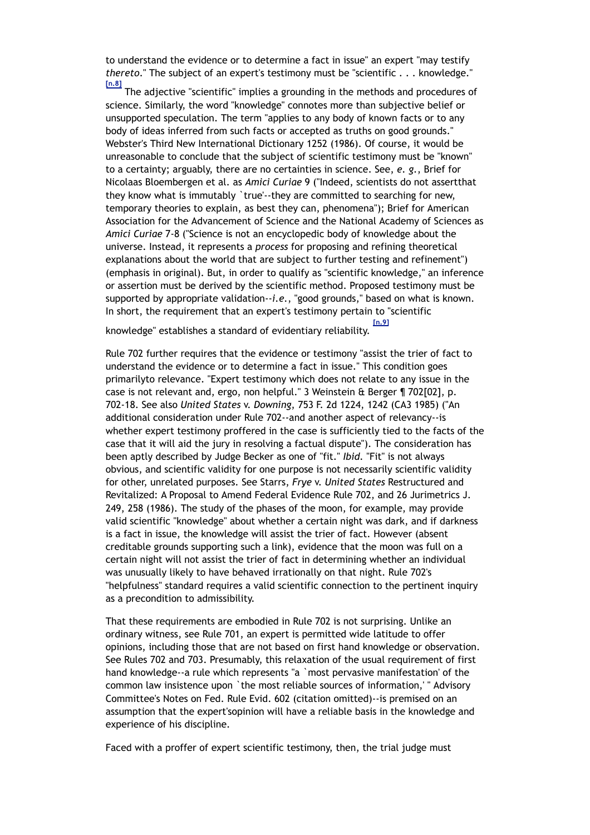to understand the evidence or to determine a fact in issue" an expert "may testify *thereto*." The subject of an expert's testimony must be "scientific . . . knowledge." **[n.8]**

 The adjective "scientific" implies a grounding in the methods and procedures of science. Similarly, the word "knowledge" connotes more than subjective belief or unsupported speculation. The term "applies to any body of known facts or to any body of ideas inferred from such facts or accepted as truths on good grounds." Webster's Third New International Dictionary 1252 (1986). Of course, it would be unreasonable to conclude that the subject of scientific testimony must be "known" to a certainty; arguably, there are no certainties in science. See, *e. g.*, Brief for Nicolaas Bloembergen et al. as *Amici Curiae* 9 ("Indeed, scientists do not assertthat they know what is immutably `true'--they are committed to searching for new, temporary theories to explain, as best they can, phenomena"); Brief for American Association for the Advancement of Science and the National Academy of Sciences as *Amici Curiae* 7-8 ("Science is not an encyclopedic body of knowledge about the universe. Instead, it represents a *process* for proposing and refining theoretical explanations about the world that are subject to further testing and refinement") (emphasis in original). But, in order to qualify as "scientific knowledge," an inference or assertion must be derived by the scientific method. Proposed testimony must be supported by appropriate validation--*i.e.*, "good grounds," based on what is known. In short, the requirement that an expert's testimony pertain to "scientific

knowledge" establishes a standard of evidentiary reliability. **[n.9]**

Rule 702 further requires that the evidence or testimony "assist the trier of fact to understand the evidence or to determine a fact in issue." This condition goes primarilyto relevance. "Expert testimony which does not relate to any issue in the case is not relevant and, ergo, non helpful." 3 Weinstein & Berger ¶ 702[02], p. 702-18. See also *United States* v. *Downing*, 753 F. 2d 1224, 1242 (CA3 1985) ("An additional consideration under Rule 702--and another aspect of relevancy--is whether expert testimony proffered in the case is sufficiently tied to the facts of the case that it will aid the jury in resolving a factual dispute"). The consideration has been aptly described by Judge Becker as one of "fit." *Ibid.* "Fit" is not always obvious, and scientific validity for one purpose is not necessarily scientific validity for other, unrelated purposes. See Starrs, *Frye* v. *United States* Restructured and Revitalized: A Proposal to Amend Federal Evidence Rule 702, and 26 Jurimetrics J. 249, 258 (1986). The study of the phases of the moon, for example, may provide valid scientific "knowledge" about whether a certain night was dark, and if darkness is a fact in issue, the knowledge will assist the trier of fact. However (absent creditable grounds supporting such a link), evidence that the moon was full on a certain night will not assist the trier of fact in determining whether an individual was unusually likely to have behaved irrationally on that night. Rule 702's "helpfulness" standard requires a valid scientific connection to the pertinent inquiry as a precondition to admissibility.

That these requirements are embodied in Rule 702 is not surprising. Unlike an ordinary witness, see Rule 701, an expert is permitted wide latitude to offer opinions, including those that are not based on first hand knowledge or observation. See Rules 702 and 703. Presumably, this relaxation of the usual requirement of first hand knowledge--a rule which represents "a `most pervasive manifestation' of the common law insistence upon `the most reliable sources of information,' " Advisory Committee's Notes on Fed. Rule Evid. 602 (citation omitted)--is premised on an assumption that the expert'sopinion will have a reliable basis in the knowledge and experience of his discipline.

Faced with a proffer of expert scientific testimony, then, the trial judge must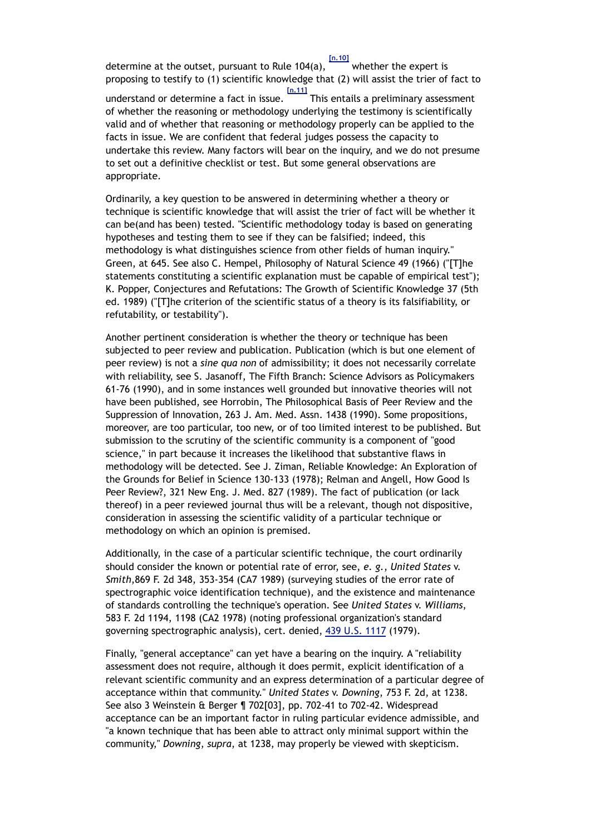determine at the outset, pursuant to Rule 104(a), whether the expert is proposing to testify to (1) scientific knowledge that (2) will assist the trier of fact to understand or determine a fact in issue. **[n.11]** This entails a preliminary assessment of whether the reasoning or methodology underlying the testimony is scientifically valid and of whether that reasoning or methodology properly can be applied to the facts in issue. We are confident that federal judges possess the capacity to undertake this review. Many factors will bear on the inquiry, and we do not presume to set out a definitive checklist or test. But some general observations are appropriate.

Ordinarily, a key question to be answered in determining whether a theory or technique is scientific knowledge that will assist the trier of fact will be whether it can be(and has been) tested. "Scientific methodology today is based on generating hypotheses and testing them to see if they can be falsified; indeed, this methodology is what distinguishes science from other fields of human inquiry." Green, at 645. See also C. Hempel, Philosophy of Natural Science 49 (1966) ("[T]he statements constituting a scientific explanation must be capable of empirical test"); K. Popper, Conjectures and Refutations: The Growth of Scientific Knowledge 37 (5th ed. 1989) ("[T]he criterion of the scientific status of a theory is its falsifiability, or refutability, or testability").

Another pertinent consideration is whether the theory or technique has been subjected to peer review and publication. Publication (which is but one element of peer review) is not a *sine qua non* of admissibility; it does not necessarily correlate with reliability, see S. Jasanoff, The Fifth Branch: Science Advisors as Policymakers 61-76 (1990), and in some instances well grounded but innovative theories will not have been published, see Horrobin, The Philosophical Basis of Peer Review and the Suppression of Innovation, 263 J. Am. Med. Assn. 1438 (1990). Some propositions, moreover, are too particular, too new, or of too limited interest to be published. But submission to the scrutiny of the scientific community is a component of "good science," in part because it increases the likelihood that substantive flaws in methodology will be detected. See J. Ziman, Reliable Knowledge: An Exploration of the Grounds for Belief in Science 130-133 (1978); Relman and Angell, How Good Is Peer Review?, 321 New Eng. J. Med. 827 (1989). The fact of publication (or lack thereof) in a peer reviewed journal thus will be a relevant, though not dispositive, consideration in assessing the scientific validity of a particular technique or methodology on which an opinion is premised.

Additionally, in the case of a particular scientific technique, the court ordinarily should consider the known or potential rate of error, see, *e. g.*, *United States* v. *Smith*,869 F. 2d 348, 353-354 (CA7 1989) (surveying studies of the error rate of spectrographic voice identification technique), and the existence and maintenance of standards controlling the technique's operation. See *United States* v. *Williams*, 583 F. 2d 1194, 1198 (CA2 1978) (noting professional organization's standard governing spectrographic analysis), cert. denied, 439 U.S. 1117 (1979).

Finally, "general acceptance" can yet have a bearing on the inquiry. A "reliability assessment does not require, although it does permit, explicit identification of a relevant scientific community and an express determination of a particular degree of acceptance within that community." *United States* v. *Downing*, 753 F. 2d, at 1238. See also 3 Weinstein & Berger ¶ 702[03], pp. 702-41 to 702-42. Widespread acceptance can be an important factor in ruling particular evidence admissible, and "a known technique that has been able to attract only minimal support within the community," *Downing*, *supra*, at 1238, may properly be viewed with skepticism.

**[n.10]**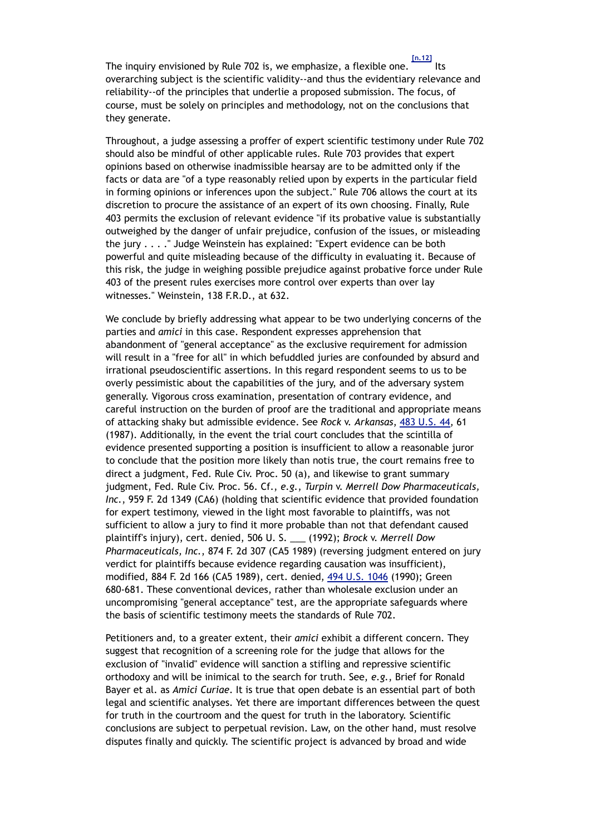The inquiry envisioned by Rule 702 is, we emphasize, a flexible one. **[n.12]** Its overarching subject is the scientific validity--and thus the evidentiary relevance and reliability--of the principles that underlie a proposed submission. The focus, of course, must be solely on principles and methodology, not on the conclusions that they generate.

Throughout, a judge assessing a proffer of expert scientific testimony under Rule 702 should also be mindful of other applicable rules. Rule 703 provides that expert opinions based on otherwise inadmissible hearsay are to be admitted only if the facts or data are "of a type reasonably relied upon by experts in the particular field in forming opinions or inferences upon the subject." Rule 706 allows the court at its discretion to procure the assistance of an expert of its own choosing. Finally, Rule 403 permits the exclusion of relevant evidence "if its probative value is substantially outweighed by the danger of unfair prejudice, confusion of the issues, or misleading the jury . . . ." Judge Weinstein has explained: "Expert evidence can be both powerful and quite misleading because of the difficulty in evaluating it. Because of this risk, the judge in weighing possible prejudice against probative force under Rule 403 of the present rules exercises more control over experts than over lay witnesses." Weinstein, 138 F.R.D., at 632.

We conclude by briefly addressing what appear to be two underlying concerns of the parties and *amici* in this case. Respondent expresses apprehension that abandonment of "general acceptance" as the exclusive requirement for admission will result in a "free for all" in which befuddled juries are confounded by absurd and irrational pseudoscientific assertions. In this regard respondent seems to us to be overly pessimistic about the capabilities of the jury, and of the adversary system generally. Vigorous cross examination, presentation of contrary evidence, and careful instruction on the burden of proof are the traditional and appropriate means of attacking shaky but admissible evidence. See *Rock* v. *Arkansas*, 483 U.S. 44, 61 (1987). Additionally, in the event the trial court concludes that the scintilla of evidence presented supporting a position is insufficient to allow a reasonable juror to conclude that the position more likely than notis true, the court remains free to direct a judgment, Fed. Rule Civ. Proc. 50 (a), and likewise to grant summary judgment, Fed. Rule Civ. Proc. 56. Cf., *e.g.*, *Turpin* v. *Merrell Dow Pharmaceuticals, Inc.*, 959 F. 2d 1349 (CA6) (holding that scientific evidence that provided foundation for expert testimony, viewed in the light most favorable to plaintiffs, was not sufficient to allow a jury to find it more probable than not that defendant caused plaintiff's injury), cert. denied, 506 U. S. \_\_\_ (1992); *Brock* v. *Merrell Dow Pharmaceuticals, Inc.*, 874 F. 2d 307 (CA5 1989) (reversing judgment entered on jury verdict for plaintiffs because evidence regarding causation was insufficient), modified, 884 F. 2d 166 (CA5 1989), cert. denied, 494 U.S. 1046 (1990); Green 680-681. These conventional devices, rather than wholesale exclusion under an uncompromising "general acceptance" test, are the appropriate safeguards where the basis of scientific testimony meets the standards of Rule 702.

Petitioners and, to a greater extent, their *amici* exhibit a different concern. They suggest that recognition of a screening role for the judge that allows for the exclusion of "invalid" evidence will sanction a stifling and repressive scientific orthodoxy and will be inimical to the search for truth. See, *e.g.*, Brief for Ronald Bayer et al. as *Amici Curiae*. It is true that open debate is an essential part of both legal and scientific analyses. Yet there are important differences between the quest for truth in the courtroom and the quest for truth in the laboratory. Scientific conclusions are subject to perpetual revision. Law, on the other hand, must resolve disputes finally and quickly. The scientific project is advanced by broad and wide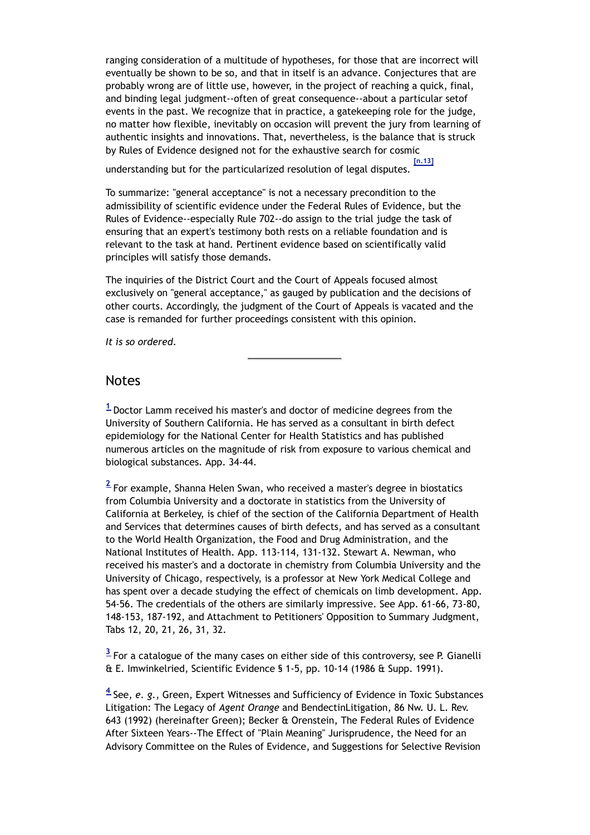ranging consideration of a multitude of hypotheses, for those that are incorrect will eventually be shown to be so, and that in itself is an advance. Conjectures that are probably wrong are of little use, however, in the project of reaching a quick, final, and binding legal judgment--often of great consequence--about a particular setof events in the past. We recognize that in practice, a gatekeeping role for the judge, no matter how flexible, inevitably on occasion will prevent the jury from learning of authentic insights and innovations. That, nevertheless, is the balance that is struck by Rules of Evidence designed not for the exhaustive search for cosmic

understanding but for the particularized resolution of legal disputes. **[n.13]**

To summarize: "general acceptance" is not a necessary precondition to the admissibility of scientific evidence under the Federal Rules of Evidence, but the Rules of Evidence--especially Rule 702--do assign to the trial judge the task of ensuring that an expert's testimony both rests on a reliable foundation and is relevant to the task at hand. Pertinent evidence based on scientifically valid principles will satisfy those demands.

The inquiries of the District Court and the Court of Appeals focused almost exclusively on "general acceptance," as gauged by publication and the decisions of other courts. Accordingly, the judgment of the Court of Appeals is vacated and the case is remanded for further proceedings consistent with this opinion.

*It is so ordered*.

## Notes

**<sup>1</sup>** Doctor Lamm received his master's and doctor of medicine degrees from the University of Southern California. He has served as a consultant in birth defect epidemiology for the National Center for Health Statistics and has published numerous articles on the magnitude of risk from exposure to various chemical and biological substances. App. 34-44.

**<sup>2</sup>** For example, Shanna Helen Swan, who received a master's degree in biostatics from Columbia University and a doctorate in statistics from the University of California at Berkeley, is chief of the section of the California Department of Health and Services that determines causes of birth defects, and has served as a consultant to the World Health Organization, the Food and Drug Administration, and the National Institutes of Health. App. 113-114, 131-132. Stewart A. Newman, who received his master's and a doctorate in chemistry from Columbia University and the University of Chicago, respectively, is a professor at New York Medical College and has spent over a decade studying the effect of chemicals on limb development. App. 54-56. The credentials of the others are similarly impressive. See App. 61-66, 73-80, 148-153, 187-192, and Attachment to Petitioners' Opposition to Summary Judgment, Tabs 12, 20, 21, 26, 31, 32.

**<sup>3</sup>** For a catalogue of the many cases on either side of this controversy, see P. Gianelli & E. Imwinkelried, Scientific Evidence § 1-5, pp. 10-14 (1986 & Supp. 1991).

**<sup>4</sup>** See, *e. g.*, Green, Expert Witnesses and Sufficiency of Evidence in Toxic Substances Litigation: The Legacy of *Agent Orange* and BendectinLitigation, 86 Nw. U. L. Rev. 643 (1992) (hereinafter Green); Becker & Orenstein, The Federal Rules of Evidence After Sixteen Years--The Effect of "Plain Meaning" Jurisprudence, the Need for an Advisory Committee on the Rules of Evidence, and Suggestions for Selective Revision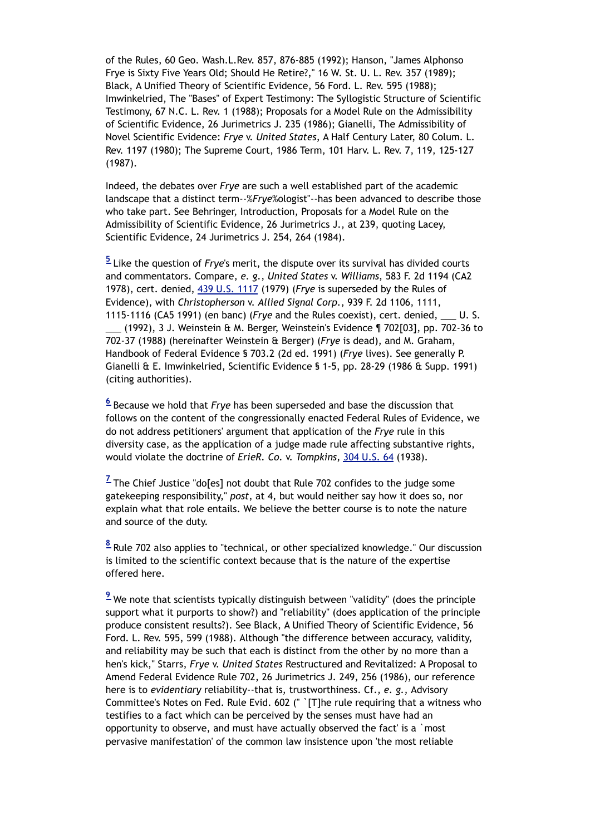of the Rules, 60 Geo. Wash.L.Rev. 857, 876-885 (1992); Hanson, "James Alphonso Frye is Sixty Five Years Old; Should He Retire?," 16 W. St. U. L. Rev. 357 (1989); Black, A Unified Theory of Scientific Evidence, 56 Ford. L. Rev. 595 (1988); Imwinkelried, The "Bases" of Expert Testimony: The Syllogistic Structure of Scientific Testimony, 67 N.C. L. Rev. 1 (1988); Proposals for a Model Rule on the Admissibility of Scientific Evidence, 26 Jurimetrics J. 235 (1986); Gianelli, The Admissibility of Novel Scientific Evidence: *Frye* v. *United States*, A Half Century Later, 80 Colum. L. Rev. 1197 (1980); The Supreme Court, 1986 Term, 101 Harv. L. Rev. 7, 119, 125-127 (1987).

Indeed, the debates over *Frye* are such a well established part of the academic landscape that a distinct term--%*Frye*%ologist"--has been advanced to describe those who take part. See Behringer, Introduction, Proposals for a Model Rule on the Admissibility of Scientific Evidence, 26 Jurimetrics J., at 239, quoting Lacey, Scientific Evidence, 24 Jurimetrics J. 254, 264 (1984).

**<sup>5</sup>** Like the question of *Frye*'s merit, the dispute over its survival has divided courts and commentators. Compare, *e. g.*, *United States* v. *Williams*, 583 F. 2d 1194 (CA2 1978), cert. denied, 439 U.S. 1117 (1979) (*Frye* is superseded by the Rules of Evidence), with *Christopherson* v. *Allied Signal Corp.*, 939 F. 2d 1106, 1111, 1115-1116 (CA5 1991) (en banc) (*Frye* and the Rules coexist), cert. denied, \_\_\_ U. S.

(1992), 3 J. Weinstein & M. Berger, Weinstein's Evidence  $\P$  702[03], pp. 702-36 to 702-37 (1988) (hereinafter Weinstein & Berger) (*Frye* is dead), and M. Graham, Handbook of Federal Evidence § 703.2 (2d ed. 1991) (*Frye* lives). See generally P. Gianelli & E. Imwinkelried, Scientific Evidence § 1-5, pp. 28-29 (1986 & Supp. 1991) (citing authorities).

**<sup>6</sup>** Because we hold that *Frye* has been superseded and base the discussion that follows on the content of the congressionally enacted Federal Rules of Evidence, we do not address petitioners' argument that application of the *Frye* rule in this diversity case, as the application of a judge made rule affecting substantive rights, would violate the doctrine of *ErieR. Co.* v. *Tompkins*, 304 U.S. 64 (1938).

<sup>Z</sup> The Chief Justice "do[es] not doubt that Rule 702 confides to the judge some gatekeeping responsibility," *post*, at 4, but would neither say how it does so, nor explain what that role entails. We believe the better course is to note the nature and source of the duty.

**<sup>8</sup>** Rule 702 also applies to "technical, or other specialized knowledge." Our discussion is limited to the scientific context because that is the nature of the expertise offered here.

<sup>9</sup> We note that scientists typically distinguish between "validity" (does the principle support what it purports to show?) and "reliability" (does application of the principle produce consistent results?). See Black, A Unified Theory of Scientific Evidence, 56 Ford. L. Rev. 595, 599 (1988). Although "the difference between accuracy, validity, and reliability may be such that each is distinct from the other by no more than a hen's kick," Starrs, *Frye* v. *United States* Restructured and Revitalized: A Proposal to Amend Federal Evidence Rule 702, 26 Jurimetrics J. 249, 256 (1986), our reference here is to *evidentiary* reliability--that is, trustworthiness. Cf., *e. g.*, Advisory Committee's Notes on Fed. Rule Evid. 602 (" `[T]he rule requiring that a witness who testifies to a fact which can be perceived by the senses must have had an opportunity to observe, and must have actually observed the fact' is a `most pervasive manifestation' of the common law insistence upon 'the most reliable